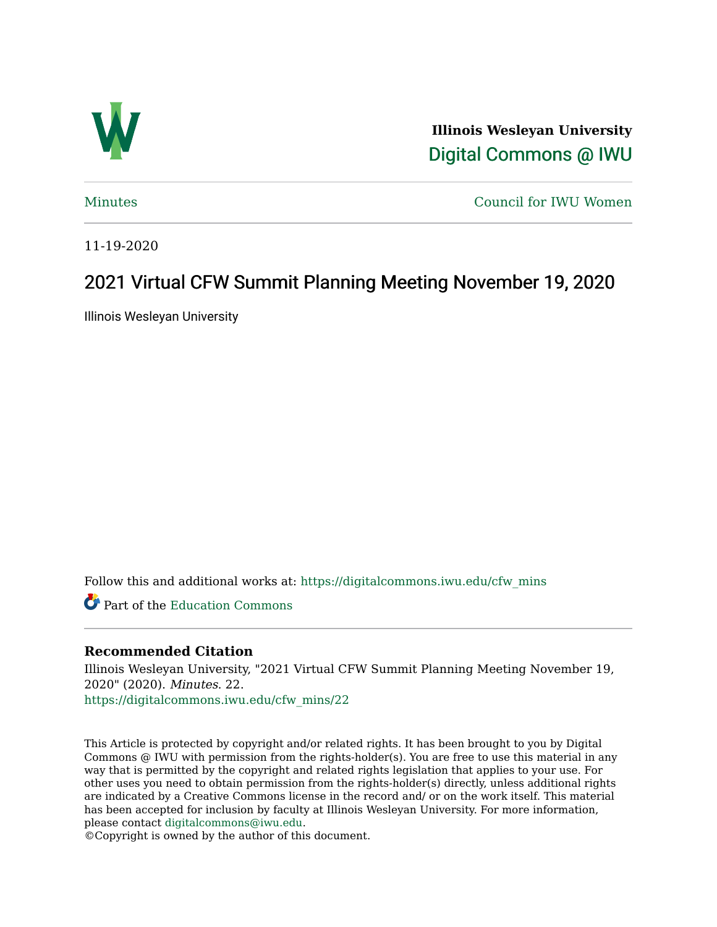

**Illinois Wesleyan University**  [Digital Commons @ IWU](https://digitalcommons.iwu.edu/) 

[Minutes](https://digitalcommons.iwu.edu/cfw_mins) [Council for IWU Women](https://digitalcommons.iwu.edu/alumni_cfw) 

11-19-2020

# 2021 Virtual CFW Summit Planning Meeting November 19, 2020

Illinois Wesleyan University

Follow this and additional works at: [https://digitalcommons.iwu.edu/cfw\\_mins](https://digitalcommons.iwu.edu/cfw_mins?utm_source=digitalcommons.iwu.edu%2Fcfw_mins%2F22&utm_medium=PDF&utm_campaign=PDFCoverPages)

Part of the [Education Commons](http://network.bepress.com/hgg/discipline/784?utm_source=digitalcommons.iwu.edu%2Fcfw_mins%2F22&utm_medium=PDF&utm_campaign=PDFCoverPages)

#### **Recommended Citation**

Illinois Wesleyan University, "2021 Virtual CFW Summit Planning Meeting November 19, 2020" (2020). Minutes. 22.

[https://digitalcommons.iwu.edu/cfw\\_mins/22](https://digitalcommons.iwu.edu/cfw_mins/22?utm_source=digitalcommons.iwu.edu%2Fcfw_mins%2F22&utm_medium=PDF&utm_campaign=PDFCoverPages) 

This Article is protected by copyright and/or related rights. It has been brought to you by Digital Commons @ IWU with permission from the rights-holder(s). You are free to use this material in any way that is permitted by the copyright and related rights legislation that applies to your use. For other uses you need to obtain permission from the rights-holder(s) directly, unless additional rights are indicated by a Creative Commons license in the record and/ or on the work itself. This material has been accepted for inclusion by faculty at Illinois Wesleyan University. For more information, please contact [digitalcommons@iwu.edu.](mailto:digitalcommons@iwu.edu)

©Copyright is owned by the author of this document.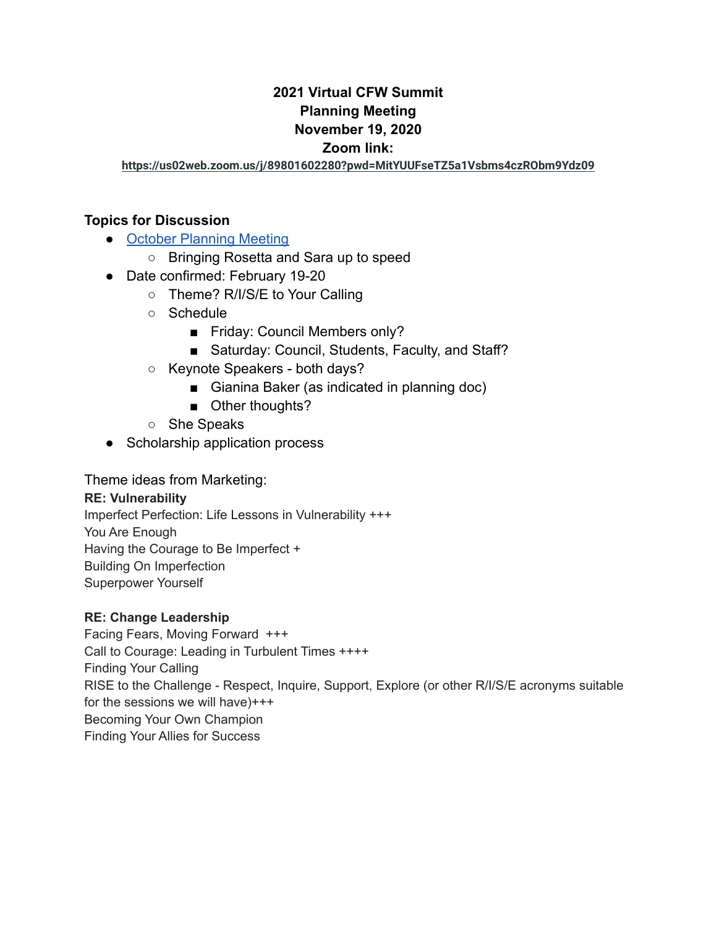### **2021 Virtual CFW Summit Planning Meeting November 19, 2020 Zoom link:**

**<https://us02web.zoom.us/j/89801602280?pwd=MitYUUFseTZ5a1Vsbms4czRObm9Ydz09>**

#### **Topics for Discussion**

- **[October Planning Meeting](https://docs.google.com/document/d/1B8Xz-s-hxubrrXbDxqA7BWLeV7Gn1pVhj73RCwQ1pGI/edit)** 
	- Bringing Rosetta and Sara up to speed
- Date confirmed: February 19-20
	- Theme? R/I/S/E to Your Calling
	- Schedule
		- Friday: Council Members only?
		- Saturday: Council, Students, Faculty, and Staff?
	- Keynote Speakers both days?
		- Gianina Baker (as indicated in planning doc)
		- Other thoughts?
	- She Speaks
- Scholarship application process

#### Theme ideas from Marketing:

#### **RE: Vulnerability**

Imperfect Perfection: Life Lessons in Vulnerability +++ You Are Enough Having the Courage to Be Imperfect + Building On Imperfection Superpower Yourself

#### **RE: Change Leadership**

Facing Fears, Moving Forward +++ Call to Courage: Leading in Turbulent Times ++++ Finding Your Calling RISE to the Challenge - Respect, Inquire, Support, Explore (or other R/I/S/E acronyms suitable for the sessions we will have)+++ Becoming Your Own Champion Finding Your Allies for Success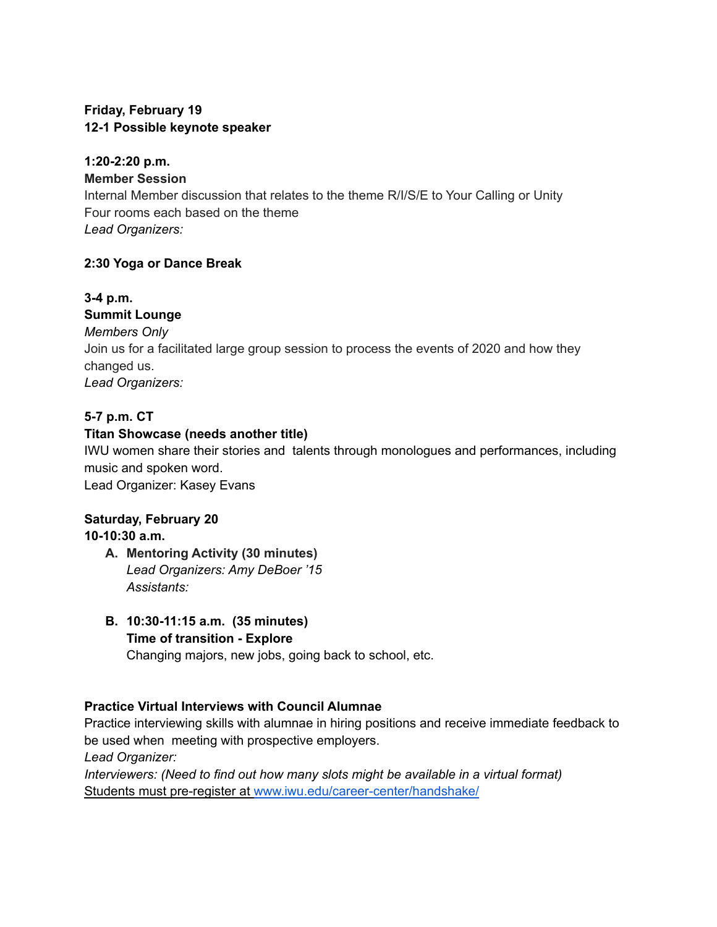#### **Friday, February 19 12-1 Possible keynote speaker**

## **1:20-2:20 p.m.**

**Member Session**

Internal Member discussion that relates to the theme R/I/S/E to Your Calling or Unity Four rooms each based on the theme *Lead Organizers:*

### **2:30 Yoga or Dance Break**

## **3-4 p.m.**

### **Summit Lounge**

*Members Only* Join us for a facilitated large group session to process the events of 2020 and how they changed us. *Lead Organizers:*

## **5-7 p.m. CT**

### **Titan Showcase (needs another title)**

IWU women share their stories and talents through monologues and performances, including music and spoken word.

Lead Organizer: Kasey Evans

### **Saturday, February 20**

## **10-10:30 a.m.**

- **A. Mentoring Activity (30 minutes)** *Lead Organizers: Amy DeBoer '15 Assistants:*
- **B. 10:30-11:15 a.m. (35 minutes) Time of transition - Explore** Changing majors, new jobs, going back to school, etc.

### **Practice Virtual Interviews with Council Alumnae**

Practice interviewing skills with alumnae in hiring positions and receive immediate feedback to be used when meeting with prospective employers. *Lead Organizer:*

*Interviewers: (Need to find out how many slots might be available in a virtual format)* Students must pre-register at [www.iwu.edu/career-center/handshake/](https://www.iwu.edu/career-center/handshake/)